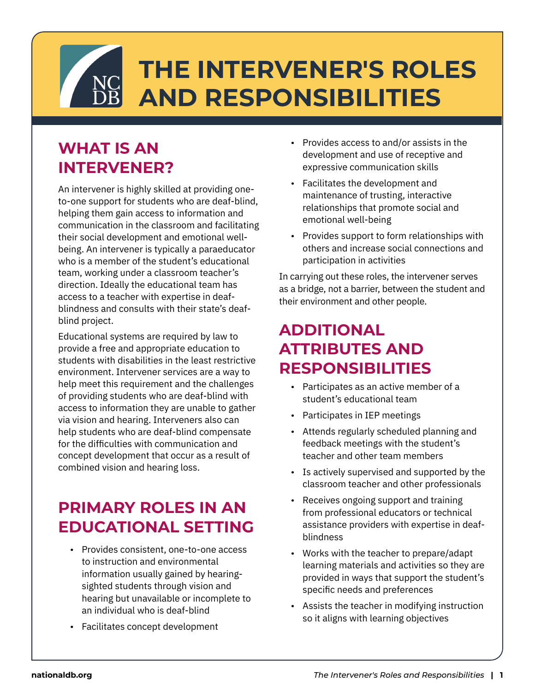# **THE INTERVENER'S ROLES AND RESPONSIBILITIES**

### **WHAT IS AN INTERVENER?**

An intervener is highly skilled at providing oneto-one support for students who are deaf-blind, helping them gain access to information and communication in the classroom and facilitating their social development and emotional wellbeing. An intervener is typically a paraeducator who is a member of the student's educational team, working under a classroom teacher's direction. Ideally the educational team has access to a teacher with expertise in deafblindness and consults with their state's deafblind project.

Educational systems are required by law to provide a free and appropriate education to students with disabilities in the least restrictive environment. Intervener services are a way to help meet this requirement and the challenges of providing students who are deaf-blind with access to information they are unable to gather via vision and hearing. Interveners also can help students who are deaf-blind compensate for the difficulties with communication and concept development that occur as a result of combined vision and hearing loss.

#### **PRIMARY ROLES IN AN EDUCATIONAL SETTING**

- Provides consistent, one-to-one access to instruction and environmental information usually gained by hearingsighted students through vision and hearing but unavailable or incomplete to an individual who is deaf-blind
- Facilitates concept development
- Provides access to and/or assists in the development and use of receptive and expressive communication skills
- Facilitates the development and maintenance of trusting, interactive relationships that promote social and emotional well-being
- Provides support to form relationships with others and increase social connections and participation in activities

In carrying out these roles, the intervener serves as a bridge, not a barrier, between the student and their environment and other people.

#### **ADDITIONAL ATTRIBUTES AND RESPONSIBILITIES**

- Participates as an active member of a student's educational team
- Participates in IEP meetings
- Attends regularly scheduled planning and feedback meetings with the student's teacher and other team members
- Is actively supervised and supported by the classroom teacher and other professionals
- Receives ongoing support and training from professional educators or technical assistance providers with expertise in deafblindness
- Works with the teacher to prepare/adapt learning materials and activities so they are provided in ways that support the student's specific needs and preferences
- Assists the teacher in modifying instruction so it aligns with learning objectives